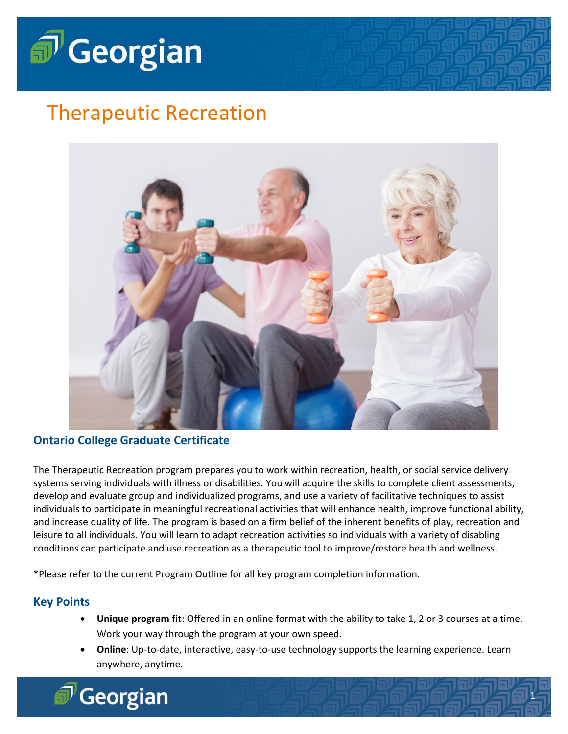

# Therapeutic Recreation



### **Ontario College Graduate Certificate**

Georgian

The Therapeutic Recreation program prepares you to work within recreation, health, or social service delivery systems serving individuals with illness or disabilities. You will acquire the skills to complete client assessments, develop and evaluate group and individualized programs, and use a variety of facilitative techniques to assist individuals to participate in meaningful recreational activities that will enhance health, improve functional ability, and increase quality of life. The program is based on a firm belief of the inherent benefits of play, recreation and leisure to all individuals. You will learn to adapt recreation activities so individuals with a variety of disabling conditions can participate and use recreation as a therapeutic tool to improve/restore health and wellness.

\*Please refer to the current Program Outline for all key program completion information.

### **Key Points**

- **Unique program fit**: Offered in an online format with the ability to take 1, 2 or 3 courses at a time. Work your way through the program at your own speed.
- **Online**: Up-to-date, interactive, easy-to-use technology supports the learning experience. Learn anywhere, anytime.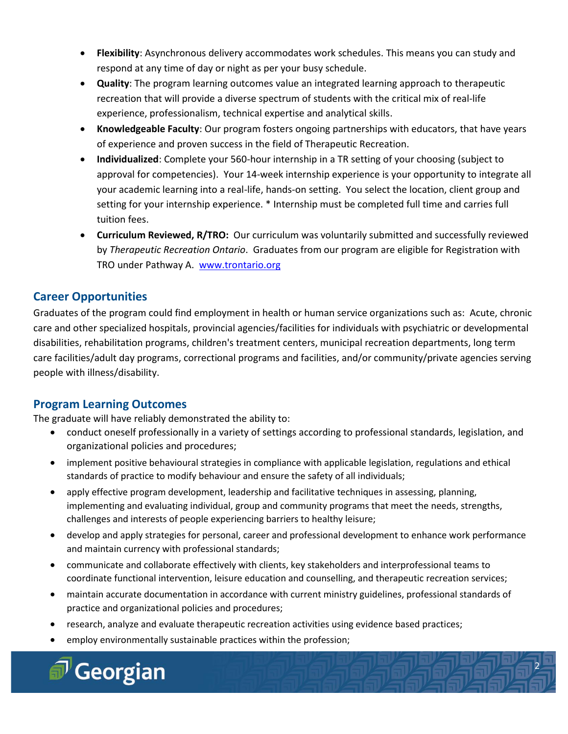- **Flexibility**: Asynchronous delivery accommodates work schedules. This means you can study and respond at any time of day or night as per your busy schedule.
- **Quality**: The program learning outcomes value an integrated learning approach to therapeutic recreation that will provide a diverse spectrum of students with the critical mix of real-life experience, professionalism, technical expertise and analytical skills.
- **Knowledgeable Faculty**: Our program fosters ongoing partnerships with educators, that have years of experience and proven success in the field of Therapeutic Recreation.
- **Individualized**: Complete your 560-hour internship in a TR setting of your choosing (subject to approval for competencies). Your 14-week internship experience is your opportunity to integrate all your academic learning into a real-life, hands-on setting. You select the location, client group and setting for your internship experience. \* Internship must be completed full time and carries full tuition fees.
- **Curriculum Reviewed, R/TRO:** Our curriculum was voluntarily submitted and successfully reviewed by *Therapeutic Recreation Ontario*. Graduates from our program are eligible for Registration with TRO under Pathway A. [www.trontario.org](http://www.trontario.org/)

# **Career Opportunities**

Graduates of the program could find employment in health or human service organizations such as: Acute, chronic care and other specialized hospitals, provincial agencies/facilities for individuals with psychiatric or developmental disabilities, rehabilitation programs, children's treatment centers, municipal recreation departments, long term care facilities/adult day programs, correctional programs and facilities, and/or community/private agencies serving people with illness/disability.

# **Program Learning Outcomes**

The graduate will have reliably demonstrated the ability to:

- conduct oneself professionally in a variety of settings according to professional standards, legislation, and organizational policies and procedures;
- implement positive behavioural strategies in compliance with applicable legislation, regulations and ethical standards of practice to modify behaviour and ensure the safety of all individuals;
- apply effective program development, leadership and facilitative techniques in assessing, planning, implementing and evaluating individual, group and community programs that meet the needs, strengths, challenges and interests of people experiencing barriers to healthy leisure;
- develop and apply strategies for personal, career and professional development to enhance work performance and maintain currency with professional standards;
- communicate and collaborate effectively with clients, key stakeholders and interprofessional teams to coordinate functional intervention, leisure education and counselling, and therapeutic recreation services;
- maintain accurate documentation in accordance with current ministry guidelines, professional standards of practice and organizational policies and procedures;

3

- research, analyze and evaluate therapeutic recreation activities using evidence based practices;
- employ environmentally sustainable practices within the profession;

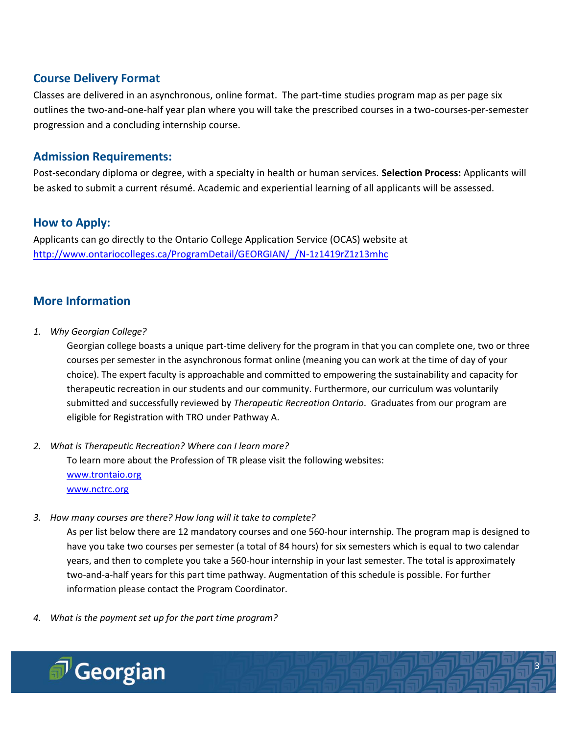# **Course Delivery Format**

Classes are delivered in an asynchronous, online format. The part-time studies program map as per page six outlines the two-and-one-half year plan where you will take the prescribed courses in a two-courses-per-semester progression and a concluding internship course.

### **Admission Requirements:**

Post-secondary diploma or degree, with a specialty in health or human services. **Selection Process:** Applicants will be asked to submit a current résumé. Academic and experiential learning of all applicants will be assessed.

## **How to Apply:**

Applicants can go directly to the Ontario College Application Service (OCAS) website at [http://www.ontariocolleges.ca/ProgramDetail/GEORGIAN/\\_/N-1z1419rZ1z13mhc](http://www.ontariocolleges.ca/ProgramDetail/GEORGIAN/_/N-1z1419rZ1z13mhc)

# **More Information**

*1. Why Georgian College?*

Georgian college boasts a unique part-time delivery for the program in that you can complete one, two or three courses per semester in the asynchronous format online (meaning you can work at the time of day of your choice). The expert faculty is approachable and committed to empowering the sustainability and capacity for therapeutic recreation in our students and our community. Furthermore, our curriculum was voluntarily submitted and successfully reviewed by *Therapeutic Recreation Ontario*. Graduates from our program are eligible for Registration with TRO under Pathway A.

*2. What is Therapeutic Recreation? Where can I learn more?*

To learn more about the Profession of TR please visit the following websites: [www.trontaio.org](http://www.trontaio.org/) [www.nctrc.org](http://www.nctrc.org/)

*3. How many courses are there? How long will it take to complete?*

As per list below there are 12 mandatory courses and one 560-hour internship. The program map is designed to have you take two courses per semester (a total of 84 hours) for six semesters which is equal to two calendar years, and then to complete you take a 560-hour internship in your last semester. The total is approximately two-and-a-half years for this part time pathway. Augmentation of this schedule is possible. For further information please contact the Program Coordinator.

3

3

*4. What is the payment set up for the part time program?*

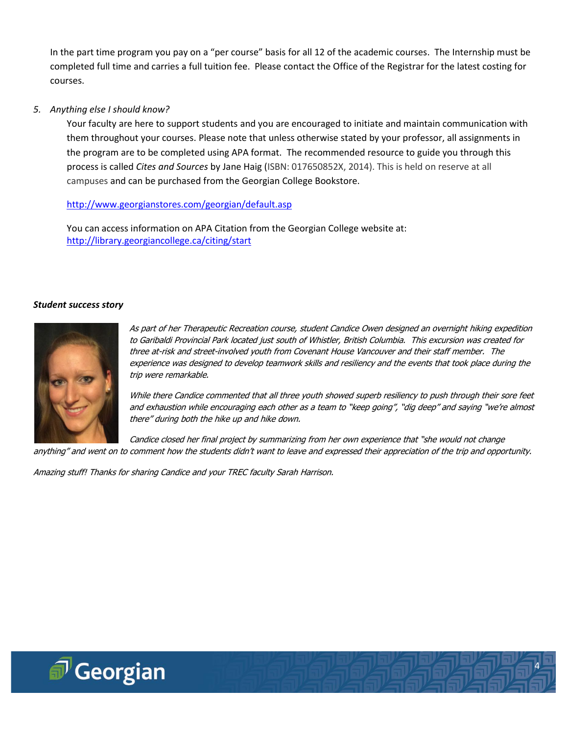In the part time program you pay on a "per course" basis for all 12 of the academic courses. The Internship must be completed full time and carries a full tuition fee. Please contact the Office of the Registrar for the latest costing for courses.

#### *5. Anything else I should know?*

Your faculty are here to support students and you are encouraged to initiate and maintain communication with them throughout your courses. Please note that unless otherwise stated by your professor, all assignments in the program are to be completed using APA format. The recommended resource to guide you through this process is called *Cites and Sources* by Jane Haig (ISBN: 017650852X, 2014). This is held on reserve at all campuses and can be purchased from the Georgian College Bookstore.

#### <http://www.georgianstores.com/georgian/default.asp>

You can access information on APA Citation from the Georgian College website at: <http://library.georgiancollege.ca/citing/start>

#### *Student success story*



As part of her Therapeutic Recreation course, student Candice Owen designed an overnight hiking expedition to Garibaldi Provincial Park located just south of Whistler, British Columbia. This excursion was created for three at-risk and street-involved youth from Covenant House Vancouver and their staff member. The experience was designed to develop teamwork skills and resiliency and the events that took place during the trip were remarkable.

While there Candice commented that all three youth showed superb resiliency to push through their sore feet and exhaustion while encouraging each other as a team to "keep going", "dig deep" and saying "we're almost there" during both the hike up and hike down.

4

4

Candice closed her final project by summarizing from her own experience that "she would not change anything" and went on to comment how the students didn't want to leave and expressed their appreciation of the trip and opportunity.

Amazing stuff! Thanks for sharing Candice and your TREC faculty Sarah Harrison.

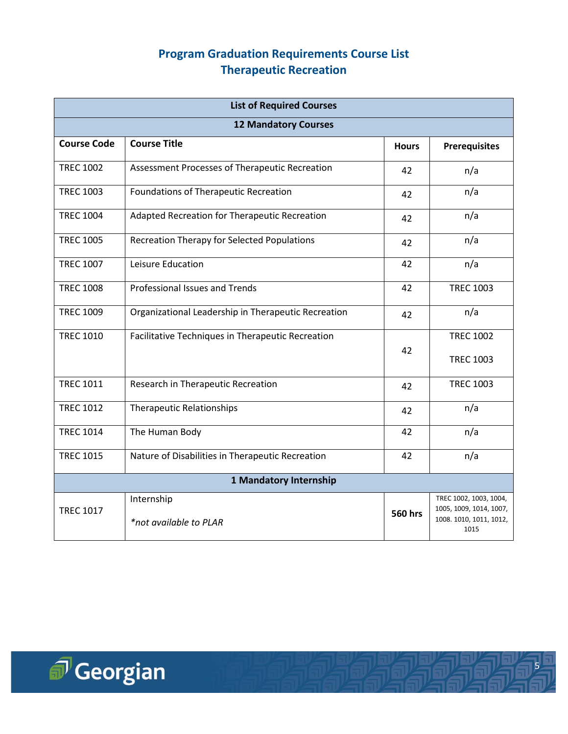# **Program Graduation Requirements Course List Therapeutic Recreation**

| <b>List of Required Courses</b> |                                                         |                |                                                                                      |  |  |  |
|---------------------------------|---------------------------------------------------------|----------------|--------------------------------------------------------------------------------------|--|--|--|
| <b>12 Mandatory Courses</b>     |                                                         |                |                                                                                      |  |  |  |
| <b>Course Code</b>              | <b>Course Title</b>                                     |                | <b>Prerequisites</b>                                                                 |  |  |  |
| <b>TREC 1002</b>                | Assessment Processes of Therapeutic Recreation          | 42             | n/a                                                                                  |  |  |  |
| <b>TREC 1003</b>                | Foundations of Therapeutic Recreation                   | 42             | n/a                                                                                  |  |  |  |
| <b>TREC 1004</b>                | Adapted Recreation for Therapeutic Recreation           | 42             | n/a                                                                                  |  |  |  |
| <b>TREC 1005</b>                | Recreation Therapy for Selected Populations             | 42             | n/a                                                                                  |  |  |  |
| <b>TREC 1007</b>                | Leisure Education                                       | 42             | n/a                                                                                  |  |  |  |
| <b>TREC 1008</b>                | <b>Professional Issues and Trends</b><br>42             |                | <b>TREC 1003</b>                                                                     |  |  |  |
| <b>TREC 1009</b>                | Organizational Leadership in Therapeutic Recreation     | 42             | n/a                                                                                  |  |  |  |
| <b>TREC 1010</b>                | Facilitative Techniques in Therapeutic Recreation<br>42 |                | <b>TREC 1002</b><br><b>TREC 1003</b>                                                 |  |  |  |
| <b>TREC 1011</b>                | Research in Therapeutic Recreation<br>42                |                | <b>TREC 1003</b>                                                                     |  |  |  |
| <b>TREC 1012</b>                | <b>Therapeutic Relationships</b>                        | 42             | n/a                                                                                  |  |  |  |
| <b>TREC 1014</b>                | The Human Body                                          | 42             | n/a                                                                                  |  |  |  |
| <b>TREC 1015</b>                | Nature of Disabilities in Therapeutic Recreation<br>42  |                | n/a                                                                                  |  |  |  |
| 1 Mandatory Internship          |                                                         |                |                                                                                      |  |  |  |
| <b>TREC 1017</b>                | Internship<br>*not available to PLAR                    | <b>560 hrs</b> | TREC 1002, 1003, 1004,<br>1005, 1009, 1014, 1007,<br>1008. 1010, 1011, 1012,<br>1015 |  |  |  |

5

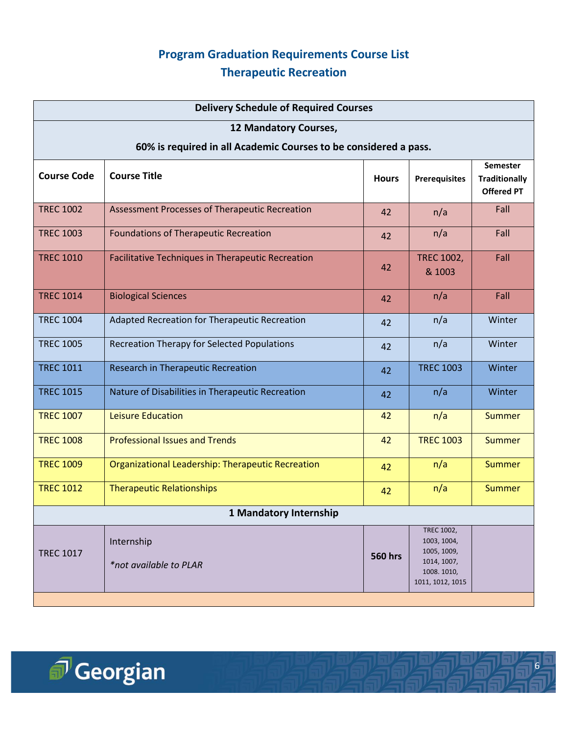# **Program Graduation Requirements Course List Therapeutic Recreation**

| <b>Delivery Schedule of Required Courses</b>                     |                                                          |                |                                                                                                  |                                                              |  |  |  |
|------------------------------------------------------------------|----------------------------------------------------------|----------------|--------------------------------------------------------------------------------------------------|--------------------------------------------------------------|--|--|--|
| 12 Mandatory Courses,                                            |                                                          |                |                                                                                                  |                                                              |  |  |  |
| 60% is required in all Academic Courses to be considered a pass. |                                                          |                |                                                                                                  |                                                              |  |  |  |
| <b>Course Code</b>                                               | <b>Course Title</b>                                      | <b>Hours</b>   | <b>Prerequisites</b>                                                                             | <b>Semester</b><br><b>Traditionally</b><br><b>Offered PT</b> |  |  |  |
| <b>TREC 1002</b>                                                 | Assessment Processes of Therapeutic Recreation           | 42             | n/a                                                                                              | Fall                                                         |  |  |  |
| <b>TREC 1003</b>                                                 | <b>Foundations of Therapeutic Recreation</b>             | 42             | n/a                                                                                              | Fall                                                         |  |  |  |
| <b>TREC 1010</b>                                                 | <b>Facilitative Techniques in Therapeutic Recreation</b> | 42             | <b>TREC 1002,</b><br>& 1003                                                                      | Fall                                                         |  |  |  |
| <b>TREC 1014</b>                                                 | <b>Biological Sciences</b>                               | 42             | n/a                                                                                              | Fall                                                         |  |  |  |
| <b>TREC 1004</b>                                                 | Adapted Recreation for Therapeutic Recreation            | 42             | n/a                                                                                              | Winter                                                       |  |  |  |
| <b>TREC 1005</b>                                                 | <b>Recreation Therapy for Selected Populations</b>       | 42             | n/a                                                                                              | Winter                                                       |  |  |  |
| <b>TREC 1011</b>                                                 | <b>Research in Therapeutic Recreation</b>                | 42             | <b>TREC 1003</b>                                                                                 | Winter                                                       |  |  |  |
| <b>TREC 1015</b>                                                 | Nature of Disabilities in Therapeutic Recreation         | 42             | n/a                                                                                              | Winter                                                       |  |  |  |
| <b>TREC 1007</b>                                                 | <b>Leisure Education</b>                                 | 42             | n/a                                                                                              | <b>Summer</b>                                                |  |  |  |
| <b>TREC 1008</b>                                                 | <b>Professional Issues and Trends</b>                    | 42             | <b>TREC 1003</b>                                                                                 | <b>Summer</b>                                                |  |  |  |
| <b>TREC 1009</b>                                                 | Organizational Leadership: Therapeutic Recreation        | 42             | n/a                                                                                              | <b>Summer</b>                                                |  |  |  |
| <b>TREC 1012</b>                                                 | <b>Therapeutic Relationships</b>                         | 42             | n/a                                                                                              | <b>Summer</b>                                                |  |  |  |
| 1 Mandatory Internship                                           |                                                          |                |                                                                                                  |                                                              |  |  |  |
| <b>TREC 1017</b>                                                 | Internship<br>*not available to PLAR                     | <b>560 hrs</b> | <b>TREC 1002,</b><br>1003, 1004,<br>1005, 1009,<br>1014, 1007,<br>1008.1010,<br>1011, 1012, 1015 |                                                              |  |  |  |
|                                                                  |                                                          |                |                                                                                                  |                                                              |  |  |  |

6

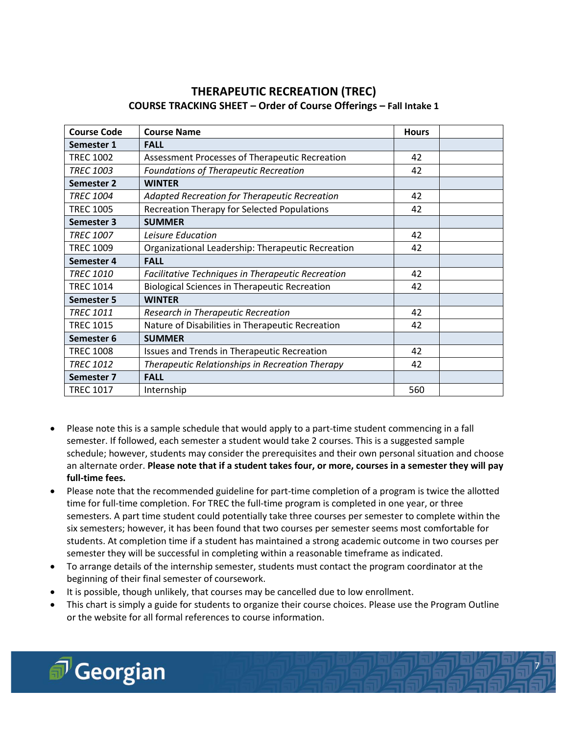# **THERAPEUTIC RECREATION (TREC) COURSE TRACKING SHEET – Order of Course Offerings – Fall Intake 1**

| <b>Course Code</b> | <b>Course Name</b>                                         | <b>Hours</b> |  |
|--------------------|------------------------------------------------------------|--------------|--|
| Semester 1         | <b>FALL</b>                                                |              |  |
| <b>TREC 1002</b>   | Assessment Processes of Therapeutic Recreation             | 42           |  |
| <b>TREC 1003</b>   | <b>Foundations of Therapeutic Recreation</b>               | 42           |  |
| Semester 2         | <b>WINTER</b>                                              |              |  |
| <b>TREC 1004</b>   | Adapted Recreation for Therapeutic Recreation<br>42        |              |  |
| <b>TREC 1005</b>   | Recreation Therapy for Selected Populations<br>42          |              |  |
| Semester 3         | <b>SUMMER</b>                                              |              |  |
| <b>TREC 1007</b>   | Leisure Education                                          | 42           |  |
| <b>TREC 1009</b>   | Organizational Leadership: Therapeutic Recreation          | 42           |  |
| Semester 4         | <b>FALL</b>                                                |              |  |
| <b>TREC 1010</b>   | Facilitative Techniques in Therapeutic Recreation          | 42           |  |
| <b>TREC 1014</b>   | <b>Biological Sciences in Therapeutic Recreation</b><br>42 |              |  |
| <b>Semester 5</b>  | <b>WINTER</b>                                              |              |  |
| <b>TREC 1011</b>   | Research in Therapeutic Recreation                         | 42           |  |
| <b>TREC 1015</b>   | Nature of Disabilities in Therapeutic Recreation           | 42           |  |
| Semester 6         | <b>SUMMER</b>                                              |              |  |
| <b>TREC 1008</b>   | Issues and Trends in Therapeutic Recreation                | 42           |  |
| <b>TREC 1012</b>   | Therapeutic Relationships in Recreation Therapy            | 42           |  |
| Semester 7         | <b>FALL</b>                                                |              |  |
| <b>TREC 1017</b>   | Internship                                                 | 560          |  |

- Please note this is a sample schedule that would apply to a part-time student commencing in a fall semester. If followed, each semester a student would take 2 courses. This is a suggested sample schedule; however, students may consider the prerequisites and their own personal situation and choose an alternate order. **Please note that if a student takes four, or more, courses in a semester they will pay full-time fees.**
- Please note that the recommended guideline for part-time completion of a program is twice the allotted time for full-time completion. For TREC the full-time program is completed in one year, or three semesters. A part time student could potentially take three courses per semester to complete within the six semesters; however, it has been found that two courses per semester seems most comfortable for students. At completion time if a student has maintained a strong academic outcome in two courses per semester they will be successful in completing within a reasonable timeframe as indicated.
- To arrange details of the internship semester, students must contact the program coordinator at the beginning of their final semester of coursework.
- It is possible, though unlikely, that courses may be cancelled due to low enrollment.
- This chart is simply a guide for students to organize their course choices. Please use the Program Outline or the website for all formal references to course information.

3

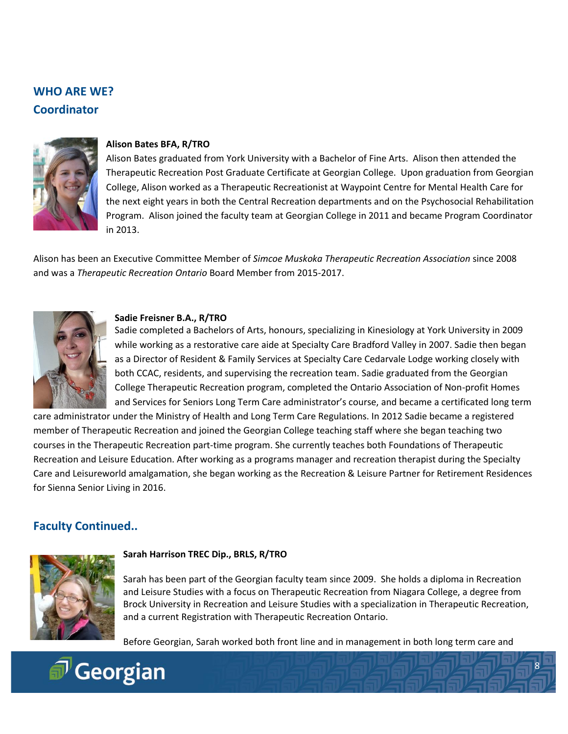# **WHO ARE WE? Coordinator**



#### **Alison Bates BFA, R/TRO**

Alison Bates graduated from York University with a Bachelor of Fine Arts. Alison then attended the Therapeutic Recreation Post Graduate Certificate at Georgian College. Upon graduation from Georgian College, Alison worked as a Therapeutic Recreationist at Waypoint Centre for Mental Health Care for the next eight years in both the Central Recreation departments and on the Psychosocial Rehabilitation Program. Alison joined the faculty team at Georgian College in 2011 and became Program Coordinator in 2013.

Alison has been an Executive Committee Member of *Simcoe Muskoka Therapeutic Recreation Association* since 2008 and was a *Therapeutic Recreation Ontario* Board Member from 2015-2017.



#### **Sadie Freisner B.A., R/TRO**

Sadie completed a Bachelors of Arts, honours, specializing in Kinesiology at York University in 2009 while working as a restorative care aide at Specialty Care Bradford Valley in 2007. Sadie then began as a Director of Resident & Family Services at Specialty Care Cedarvale Lodge working closely with both CCAC, residents, and supervising the recreation team. Sadie graduated from the Georgian College Therapeutic Recreation program, completed the Ontario Association of Non-profit Homes and Services for Seniors Long Term Care administrator's course, and became a certificated long term

care administrator under the Ministry of Health and Long Term Care Regulations. In 2012 Sadie became a registered member of Therapeutic Recreation and joined the Georgian College teaching staff where she began teaching two courses in the Therapeutic Recreation part-time program. She currently teaches both Foundations of Therapeutic Recreation and Leisure Education. After working as a programs manager and recreation therapist during the Specialty Care and Leisureworld amalgamation, she began working as the Recreation & Leisure Partner for Retirement Residences for Sienna Senior Living in 2016.

# **Faculty Continued..**



#### **Sarah Harrison TREC Dip., BRLS, R/TRO**

Sarah has been part of the Georgian faculty team since 2009. She holds a diploma in Recreation and Leisure Studies with a focus on Therapeutic Recreation from Niagara College, a degree from Brock University in Recreation and Leisure Studies with a specialization in Therapeutic Recreation, and a current Registration with Therapeutic Recreation Ontario.

Before Georgian, Sarah worked both front line and in management in both long term care and

8

 $\mathbf{Q}$